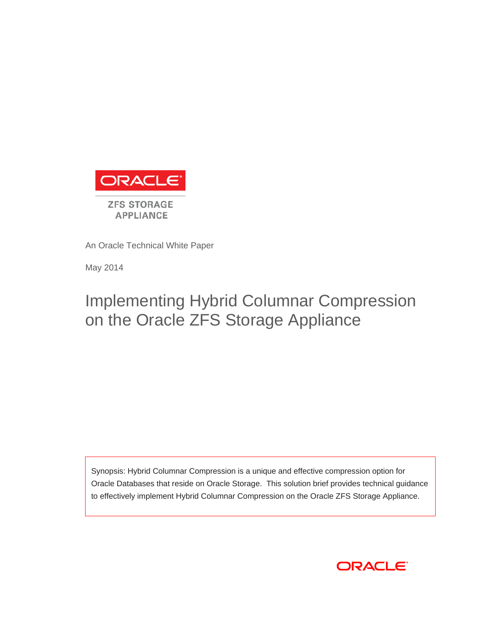

An Oracle Technical White Paper

May 2014

# Implementing Hybrid Columnar Compression on the Oracle ZFS Storage Appliance

Synopsis: Hybrid Columnar Compression is a unique and effective compression option for Oracle Databases that reside on Oracle Storage. This solution brief provides technical guidance to effectively implement Hybrid Columnar Compression on the Oracle ZFS Storage Appliance.

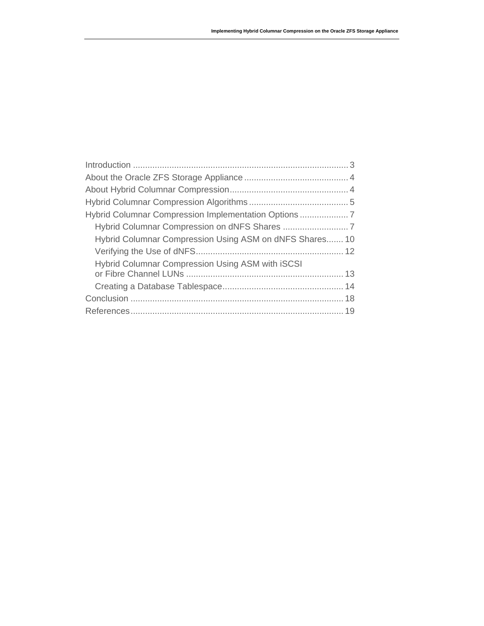| Hybrid Columnar Compression Using ASM on dNFS Shares 10 |  |
|---------------------------------------------------------|--|
|                                                         |  |
| <b>Hybrid Columnar Compression Using ASM with ISCSI</b> |  |
|                                                         |  |
|                                                         |  |
|                                                         |  |
|                                                         |  |
|                                                         |  |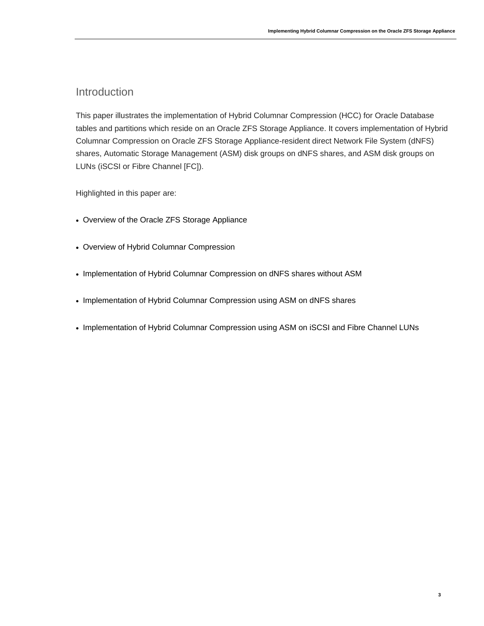### Introduction

This paper illustrates the implementation of Hybrid Columnar Compression (HCC) for Oracle Database tables and partitions which reside on an Oracle ZFS Storage Appliance. It covers implementation of Hybrid Columnar Compression on Oracle ZFS Storage Appliance-resident direct Network File System (dNFS) shares, Automatic Storage Management (ASM) disk groups on dNFS shares, and ASM disk groups on LUNs (iSCSI or Fibre Channel [FC]).

Highlighted in this paper are:

- Overview of the Oracle ZFS Storage Appliance
- Overview of Hybrid Columnar Compression
- Implementation of Hybrid Columnar Compression on dNFS shares without ASM
- Implementation of Hybrid Columnar Compression using ASM on dNFS shares
- Implementation of Hybrid Columnar Compression using ASM on iSCSI and Fibre Channel LUNs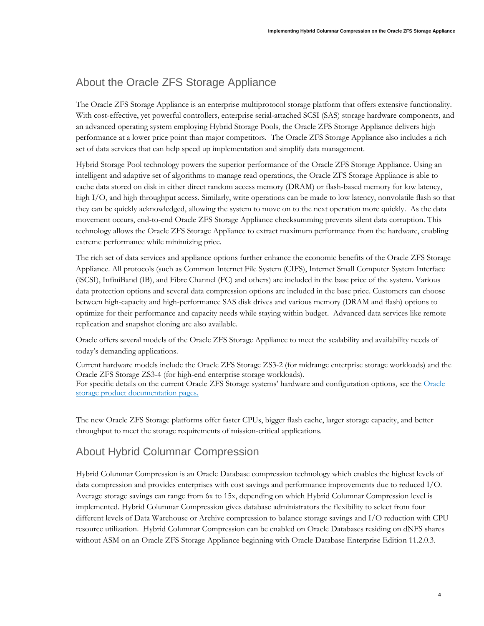### About the Oracle ZFS Storage Appliance

The Oracle ZFS Storage Appliance is an enterprise multiprotocol storage platform that offers extensive functionality. With cost-effective, yet powerful controllers, enterprise serial-attached SCSI (SAS) storage hardware components, and an advanced operating system employing Hybrid Storage Pools, the Oracle ZFS Storage Appliance delivers high performance at a lower price point than major competitors. The Oracle ZFS Storage Appliance also includes a rich set of data services that can help speed up implementation and simplify data management.

Hybrid Storage Pool technology powers the superior performance of the Oracle ZFS Storage Appliance. Using an intelligent and adaptive set of algorithms to manage read operations, the Oracle ZFS Storage Appliance is able to cache data stored on disk in either direct random access memory (DRAM) or flash-based memory for low latency, high I/O, and high throughput access. Similarly, write operations can be made to low latency, nonvolatile flash so that they can be quickly acknowledged, allowing the system to move on to the next operation more quickly. As the data movement occurs, end-to-end Oracle ZFS Storage Appliance checksumming prevents silent data corruption. This technology allows the Oracle ZFS Storage Appliance to extract maximum performance from the hardware, enabling extreme performance while minimizing price.

The rich set of data services and appliance options further enhance the economic benefits of the Oracle ZFS Storage Appliance. All protocols (such as Common Internet File System (CIFS), Internet Small Computer System Interface (iSCSI), InfiniBand (IB), and Fibre Channel (FC) and others) are included in the base price of the system. Various data protection options and several data compression options are included in the base price. Customers can choose between high-capacity and high-performance SAS disk drives and various memory (DRAM and flash) options to optimize for their performance and capacity needs while staying within budget. Advanced data services like remote replication and snapshot cloning are also available.

Oracle offers several models of the Oracle ZFS Storage Appliance to meet the scalability and availability needs of today's demanding applications.

Current hardware models include the Oracle ZFS Storage ZS3-2 (for midrange enterprise storage workloads) and the Oracle ZFS Storage ZS3-4 (for high-end enterprise storage workloads). For specific details on the current [Oracle](http://www.oracle.com/us/products/servers-storage/storage/nas/overview/index.html) ZFS Storage systems' hardware and configuration options, see the Oracle [storage product documentation pages.](http://www.oracle.com/us/products/servers-storage/storage/nas/overview/index.html)

The new Oracle ZFS Storage platforms offer faster CPUs, bigger flash cache, larger storage capacity, and better throughput to meet the storage requirements of mission-critical applications.

### About Hybrid Columnar Compression

Hybrid Columnar Compression is an Oracle Database compression technology which enables the highest levels of data compression and provides enterprises with cost savings and performance improvements due to reduced I/O. Average storage savings can range from 6x to 15x, depending on which Hybrid Columnar Compression level is implemented. Hybrid Columnar Compression gives database administrators the flexibility to select from four different levels of Data Warehouse or Archive compression to balance storage savings and I/O reduction with CPU resource utilization. Hybrid Columnar Compression can be enabled on Oracle Databases residing on dNFS shares without ASM on an Oracle ZFS Storage Appliance beginning with Oracle Database Enterprise Edition 11.2.0.3.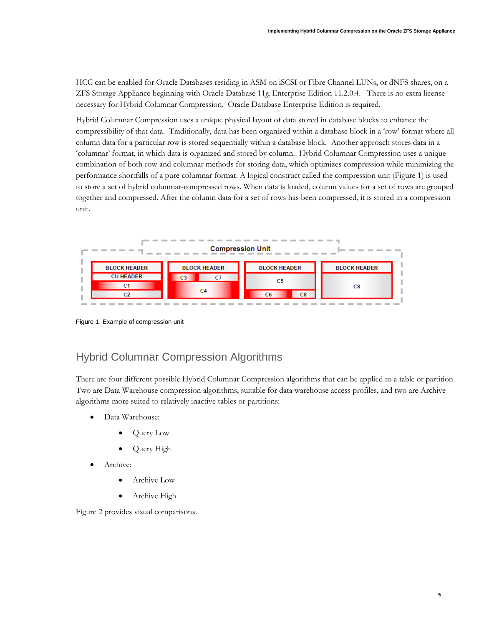HCC can be enabled for Oracle Databases residing in ASM on iSCSI or Fibre Channel LUNs, or dNFS shares, on a ZFS Storage Appliance beginning with Oracle Database 11*g*, Enterprise Edition 11.2.0.4. There is no extra license necessary for Hybrid Columnar Compression. Oracle Database Enterprise Edition is required.

Hybrid Columnar Compression uses a unique physical layout of data stored in database blocks to enhance the compressibility of that data. Traditionally, data has been organized within a database block in a 'row' format where all column data for a particular row is stored sequentially within a database block. Another approach stores data in a 'columnar' format, in which data is organized and stored by column. Hybrid Columnar Compression uses a unique combination of both row and columnar methods for storing data, which optimizes compression while minimizing the performance shortfalls of a pure columnar format. A logical construct called the compression unit (Figure 1) is used to store a set of hybrid columnar-compressed rows. When data is loaded, column values for a set of rows are grouped together and compressed. After the column data for a set of rows has been compressed, it is stored in a compression unit.



Figure 1. Example of compression unit

### Hybrid Columnar Compression Algorithms

There are four different possible Hybrid Columnar Compression algorithms that can be applied to a table or partition. Two are Data Warehouse compression algorithms, suitable for data warehouse access profiles, and two are Archive algorithms more suited to relatively inactive tables or partitions:

- Data Warehouse:
	- Query Low
	- Query High
- Archive:
	- Archive Low
	- Archive High

Figure 2 provides visual comparisons.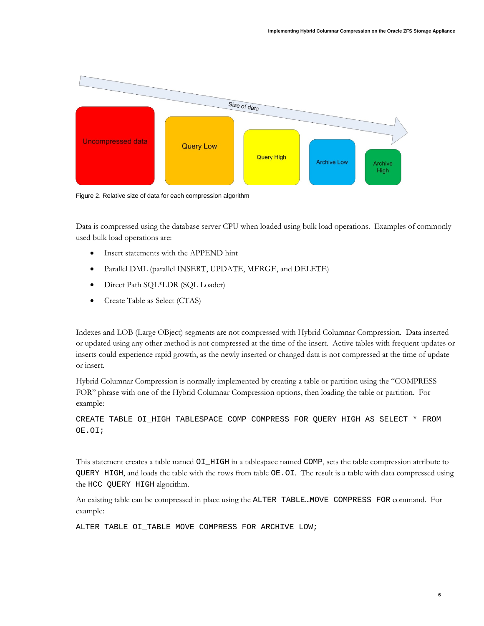

Figure 2. Relative size of data for each compression algorithm

Data is compressed using the database server CPU when loaded using bulk load operations. Examples of commonly used bulk load operations are:

- Insert statements with the APPEND hint
- Parallel DML (parallel INSERT, UPDATE, MERGE, and DELETE)
- Direct Path SQL\*LDR (SQL Loader)
- Create Table as Select (CTAS)

Indexes and LOB (Large OBject) segments are not compressed with Hybrid Columnar Compression. Data inserted or updated using any other method is not compressed at the time of the insert. Active tables with frequent updates or inserts could experience rapid growth, as the newly inserted or changed data is not compressed at the time of update or insert.

Hybrid Columnar Compression is normally implemented by creating a table or partition using the "COMPRESS FOR" phrase with one of the Hybrid Columnar Compression options, then loading the table or partition. For example:

CREATE TABLE OI\_HIGH TABLESPACE COMP COMPRESS FOR QUERY HIGH AS SELECT \* FROM OE.OI;

This statement creates a table named OI\_HIGH in a tablespace named COMP, sets the table compression attribute to QUERY HIGH, and loads the table with the rows from table OE.OI. The result is a table with data compressed using the HCC QUERY HIGH algorithm.

An existing table can be compressed in place using the ALTER TABLE…MOVE COMPRESS FOR command. For example:

ALTER TABLE OI TABLE MOVE COMPRESS FOR ARCHIVE LOW;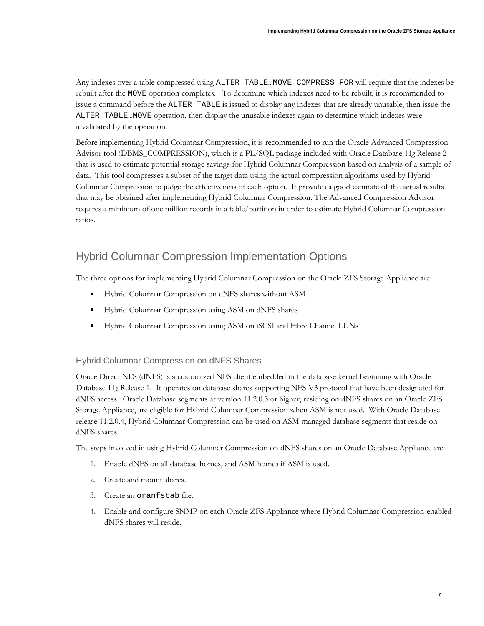Any indexes over a table compressed using ALTER TABLE…MOVE COMPRESS FOR will require that the indexes be rebuilt after the MOVE operation completes. To determine which indexes need to be rebuilt, it is recommended to issue a command before the ALTER TABLE is issued to display any indexes that are already unusable, then issue the ALTER TABLE…MOVE operation, then display the unusable indexes again to determine which indexes were invalidated by the operation.

Before implementing Hybrid Columnar Compression, it is recommended to run the Oracle Advanced Compression Advisor tool (DBMS\_COMPRESSION), which is a PL/SQL package included with Oracle Database 11*g* Release 2 that is used to estimate potential storage savings for Hybrid Columnar Compression based on analysis of a sample of data. This tool compresses a subset of the target data using the actual compression algorithms used by Hybrid Columnar Compression to judge the effectiveness of each option. It provides a good estimate of the actual results that may be obtained after implementing Hybrid Columnar Compression. The Advanced Compression Advisor requires a minimum of one million records in a table/partition in order to estimate Hybrid Columnar Compression ratios.

### Hybrid Columnar Compression Implementation Options

The three options for implementing Hybrid Columnar Compression on the Oracle ZFS Storage Appliance are:

- Hybrid Columnar Compression on dNFS shares without ASM
- Hybrid Columnar Compression using ASM on dNFS shares
- Hybrid Columnar Compression using ASM on iSCSI and Fibre Channel LUNs

#### Hybrid Columnar Compression on dNFS Shares

Oracle Direct NFS (dNFS) is a customized NFS client embedded in the database kernel beginning with Oracle Database 11*g* Release 1. It operates on database shares supporting NFS V3 protocol that have been designated for dNFS access. Oracle Database segments at version 11.2.0.3 or higher, residing on dNFS shares on an Oracle ZFS Storage Appliance, are eligible for Hybrid Columnar Compression when ASM is not used. With Oracle Database release 11.2.0.4, Hybrid Columnar Compression can be used on ASM-managed database segments that reside on dNFS shares.

The steps involved in using Hybrid Columnar Compression on dNFS shares on an Oracle Database Appliance are:

- 1. Enable dNFS on all database homes, and ASM homes if ASM is used.
- 2. Create and mount shares.
- 3. Create an oranfstab file.
- 4. Enable and configure SNMP on each Oracle ZFS Appliance where Hybrid Columnar Compression-enabled dNFS shares will reside.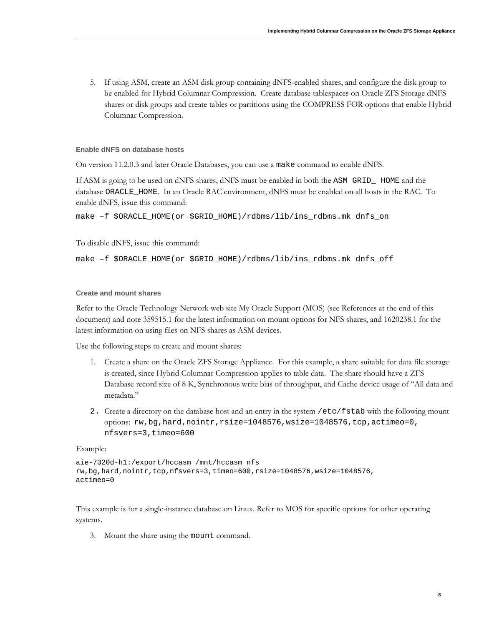5. If using ASM, create an ASM disk group containing dNFS-enabled shares, and configure the disk group to be enabled for Hybrid Columnar Compression. Create database tablespaces on Oracle ZFS Storage dNFS shares or disk groups and create tables or partitions using the COMPRESS FOR options that enable Hybrid Columnar Compression.

#### **Enable dNFS on database hosts**

On version 11.2.0.3 and later Oracle Databases, you can use a make command to enable dNFS.

If ASM is going to be used on dNFS shares, dNFS must be enabled in both the ASM GRID\_ HOME and the database ORACLE\_HOME. In an Oracle RAC environment, dNFS must be enabled on all hosts in the RAC. To enable dNFS, issue this command:

```
make –f $ORACLE_HOME(or $GRID_HOME)/rdbms/lib/ins_rdbms.mk dnfs_on
```
To disable dNFS, issue this command:

make –f \$ORACLE\_HOME(or \$GRID\_HOME)/rdbms/lib/ins\_rdbms.mk dnfs\_off

#### **Create and mount shares**

Refer to the Oracle Technology Network web site My Oracle Support (MOS) (see References at the end of this document) and note 359515.1 for the latest information on mount options for NFS shares, and 1620238.1 for the latest information on using files on NFS shares as ASM devices.

Use the following steps to create and mount shares:

- 1. Create a share on the Oracle ZFS Storage Appliance. For this example, a share suitable for data file storage is created, since Hybrid Columnar Compression applies to table data. The share should have a ZFS Database record size of 8 K, Synchronous write bias of throughput, and Cache device usage of "All data and metadata."
- 2. Create a directory on the database host and an entry in the system /etc/fstab with the following mount options: rw,bg,hard,nointr,rsize=1048576,wsize=1048576,tcp,actimeo=0, nfsvers=3,timeo=600

Example:

```
aie-7320d-h1:/export/hccasm /mnt/hccasm nfs 
rw,bg,hard,nointr,tcp,nfsvers=3,timeo=600,rsize=1048576,wsize=1048576,
actimeo=0
```
This example is for a single-instance database on Linux. Refer to MOS for specific options for other operating systems.

3. Mount the share using the mount command.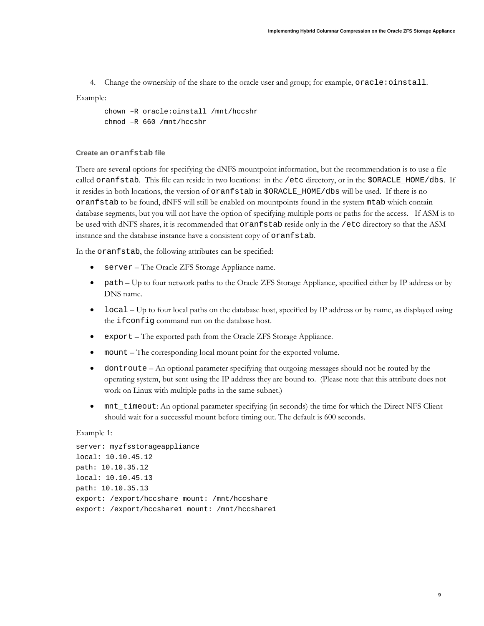4. Change the ownership of the share to the oracle user and group; for example, oracle:oinstall.

#### Example:

```
chown –R oracle:oinstall /mnt/hccshr
chmod –R 660 /mnt/hccshr
```
#### **Create an oranfstab file**

There are several options for specifying the dNFS mountpoint information, but the recommendation is to use a file called oranfstab. This file can reside in two locations: in the /etc directory, or in the \$ORACLE\_HOME/dbs. If it resides in both locations, the version of oranfstab in \$ORACLE\_HOME/dbs will be used. If there is no oranfstab to be found, dNFS will still be enabled on mountpoints found in the system mtab which contain database segments, but you will not have the option of specifying multiple ports or paths for the access. If ASM is to be used with dNFS shares, it is recommended that oranfstab reside only in the /etc directory so that the ASM instance and the database instance have a consistent copy of oranfstab.

In the oranfstab, the following attributes can be specified:

- server The Oracle ZFS Storage Appliance name.
- path Up to four network paths to the Oracle ZFS Storage Appliance, specified either by IP address or by DNS name.
- local Up to four local paths on the database host, specified by IP address or by name, as displayed using the ifconfig command run on the database host.
- export The exported path from the Oracle ZFS Storage Appliance.
- mount The corresponding local mount point for the exported volume.
- dontroute An optional parameter specifying that outgoing messages should not be routed by the operating system, but sent using the IP address they are bound to. (Please note that this attribute does not work on Linux with multiple paths in the same subnet.)
- mnt\_timeout: An optional parameter specifying (in seconds) the time for which the Direct NFS Client should wait for a successful mount before timing out. The default is 600 seconds.

#### Example 1:

```
server: myzfsstorageappliance
local: 10.10.45.12
path: 10.10.35.12
local: 10.10.45.13
path: 10.10.35.13
export: /export/hccshare mount: /mnt/hccshare
export: /export/hccshare1 mount: /mnt/hccshare1
```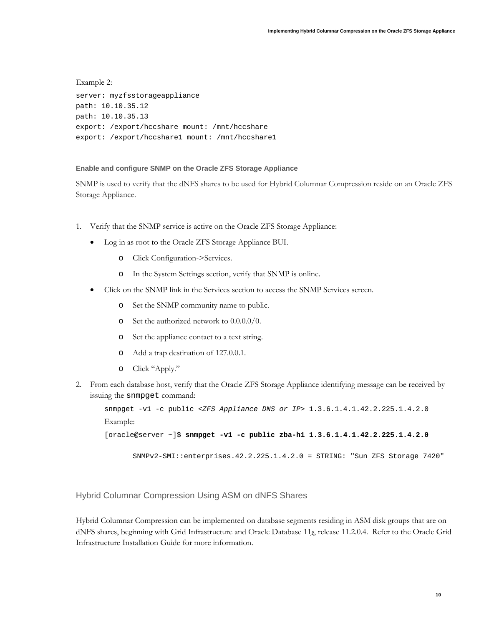Example 2: server: myzfsstorageappliance path: 10.10.35.12 path: 10.10.35.13 export: /export/hccshare mount: /mnt/hccshare export: /export/hccshare1 mount: /mnt/hccshare1

#### **Enable and configure SNMP on the Oracle ZFS Storage Appliance**

SNMP is used to verify that the dNFS shares to be used for Hybrid Columnar Compression reside on an Oracle ZFS Storage Appliance.

- 1. Verify that the SNMP service is active on the Oracle ZFS Storage Appliance:
	- Log in as root to the Oracle ZFS Storage Appliance BUI.
		- o Click Configuration->Services.
		- o In the System Settings section, verify that SNMP is online.
	- Click on the SNMP link in the Services section to access the SNMP Services screen.
		- o Set the SNMP community name to public.
		- o Set the authorized network to 0.0.0.0/0.
		- o Set the appliance contact to a text string.
		- o Add a trap destination of 127.0.0.1.
		- o Click "Apply."
- 2. From each database host, verify that the Oracle ZFS Storage Appliance identifying message can be received by issuing the snmpget command:

```
snmpget -v1 -c public <ZFS Appliance DNS or IP> 1.3.6.1.4.1.42.2.225.1.4.2.0
Example:
```

```
[oracle@server ~]$ snmpget -v1 -c public zba-h1 1.3.6.1.4.1.42.2.225.1.4.2.0
```

```
SNMPv2-SMI::enterprises.42.2.225.1.4.2.0 = STRING: "Sun ZFS Storage 7420"
```
Hybrid Columnar Compression Using ASM on dNFS Shares

Hybrid Columnar Compression can be implemented on database segments residing in ASM disk groups that are on dNFS shares, beginning with Grid Infrastructure and Oracle Database 11*g*, release 11.2.0.4. Refer to the Oracle Grid Infrastructure Installation Guide for more information.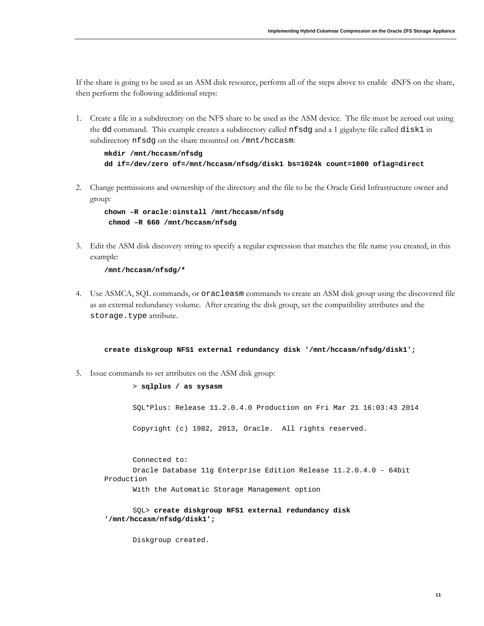If the share is going to be used as an ASM disk resource, perform all of the steps above to enable dNFS on the share, then perform the following additional steps:

1. Create a file in a subdirectory on the NFS share to be used as the ASM device. The file must be zeroed out using the dd command. This example creates a subdirectory called nfsdg and a 1 gigabyte file called disk1 in subdirectory nfsdg on the share mounted on /mnt/hccasm:

```
mkdir /mnt/hccasm/nfsdg 
dd if=/dev/zero of=/mnt/hccasm/nfsdg/disk1 bs=1024k count=1000 oflag=direct
```
2. Change permissions and ownership of the directory and the file to be the Oracle Grid Infrastructure owner and group:

```
chown –R oracle:oinstall /mnt/hccasm/nfsdg
chmod –R 660 /mnt/hccasm/nfsdg
```
3. Edit the ASM disk discovery string to specify a regular expression that matches the file name you created, in this example:

**/mnt/hccasm/nfsdg/\***

4. Use ASMCA, SQL commands, or oracleasm commands to create an ASM disk group using the discovered file as an external redundancy volume. After creating the disk group, set the compatibility attributes and the storage.type attribute.

**create diskgroup NFS1 external redundancy disk '/mnt/hccasm/nfsdg/disk1';**

5. Issue commands to set attributes on the ASM disk group:

> **sqlplus / as sysasm** SQL\*Plus: Release 11.2.0.4.0 Production on Fri Mar 21 16:03:43 2014 Copyright (c) 1982, 2013, Oracle. All rights reserved.

Connected to: Oracle Database 11g Enterprise Edition Release 11.2.0.4.0 - 64bit Production

With the Automatic Storage Management option

SQL> **create diskgroup NFS1 external redundancy disk '/mnt/hccasm/nfsdg/disk1';**

Diskgroup created.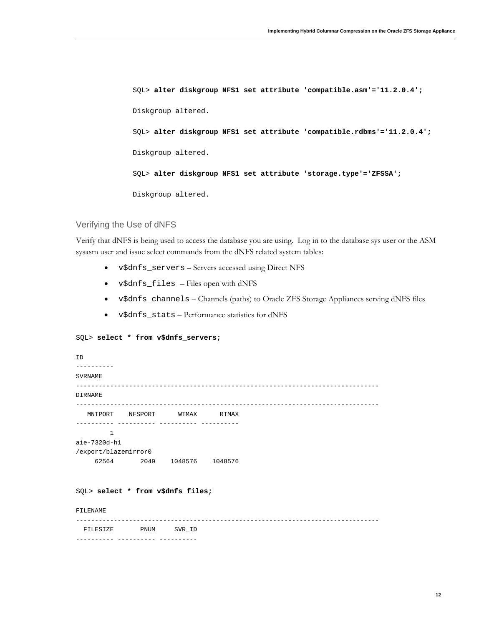SQL> **alter diskgroup NFS1 set attribute 'compatible.asm'='11.2.0.4';** Diskgroup altered. SQL> **alter diskgroup NFS1 set attribute 'compatible.rdbms'='11.2.0.4';** Diskgroup altered. SQL> **alter diskgroup NFS1 set attribute 'storage.type'='ZFSSA';** Diskgroup altered.

#### Verifying the Use of dNFS

Verify that dNFS is being used to access the database you are using. Log in to the database sys user or the ASM sysasm user and issue select commands from the dNFS related system tables:

- v\$dnfs\_servers Servers accessed using Direct NFS
- v\$dnfs\_files Files open with dNFS
- v\$dnfs\_channels Channels (paths) to Oracle ZFS Storage Appliances serving dNFS files
- v\$dnfs\_stats Performance statistics for dNFS

#### SQL> **select \* from v\$dnfs\_servers;**

| ID<br>- - - - - - - - -           |                                             |  |
|-----------------------------------|---------------------------------------------|--|
| <b>SVRNAME</b>                    |                                             |  |
| <b>DIRNAME</b>                    |                                             |  |
|                                   | MNTPORT NFSPORT WTMAX RTMAX                 |  |
| $\mathbf{1}$                      |                                             |  |
| aie-7320d-h1                      |                                             |  |
| /export/blazemirror0              |                                             |  |
|                                   | 62564 2049 1048576 1048576                  |  |
| SQL> select * from v\$dnfs_files; |                                             |  |
| FILENAME                          |                                             |  |
|                                   | FILESIZE PNUM SVR_ID<br>---------- -------- |  |
|                                   |                                             |  |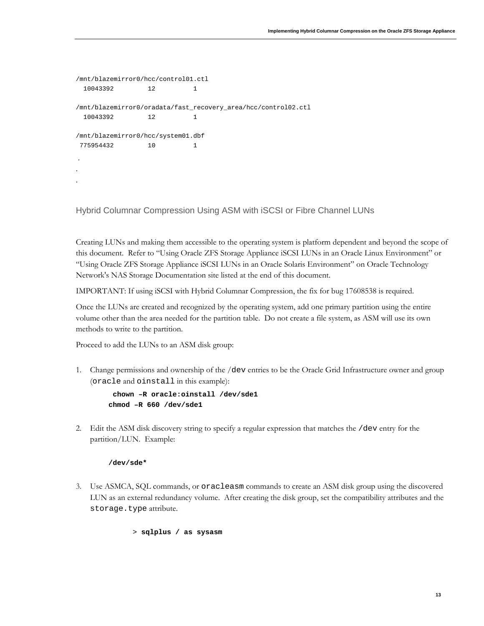```
/mnt/blazemirror0/hcc/control01.ctl
  10043392 12 1
/mnt/blazemirror0/oradata/fast_recovery_area/hcc/control02.ctl
  10043392 12 1
/mnt/blazemirror0/hcc/system01.dbf
775954432 10 1
.
.
.
```
Hybrid Columnar Compression Using ASM with iSCSI or Fibre Channel LUNs

Creating LUNs and making them accessible to the operating system is platform dependent and beyond the scope of this document. Refer to "Using Oracle ZFS Storage Appliance iSCSI LUNs in an Oracle Linux Environment" or "Using Oracle ZFS Storage Appliance iSCSI LUNs in an Oracle Solaris Environment" on Oracle Technology Network's NAS Storage Documentation site listed at the end of this document.

IMPORTANT: If using iSCSI with Hybrid Columnar Compression, the fix for bug 17608538 is required.

Once the LUNs are created and recognized by the operating system, add one primary partition using the entire volume other than the area needed for the partition table. Do not create a file system, as ASM will use its own methods to write to the partition.

Proceed to add the LUNs to an ASM disk group:

1. Change permissions and ownership of the /dev entries to be the Oracle Grid Infrastructure owner and group (oracle and oinstall in this example):

```
 chown –R oracle:oinstall /dev/sde1
chmod –R 660 /dev/sde1
```
2. Edit the ASM disk discovery string to specify a regular expression that matches the /dev entry for the partition/LUN. Example:

#### **/dev/sde\***

3. Use ASMCA, SQL commands, or oracleasm commands to create an ASM disk group using the discovered LUN as an external redundancy volume. After creating the disk group, set the compatibility attributes and the storage.type attribute.

```
> sqlplus / as sysasm
```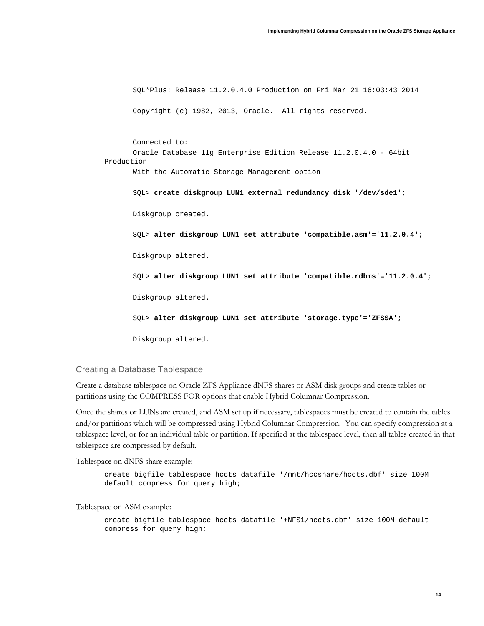SQL\*Plus: Release 11.2.0.4.0 Production on Fri Mar 21 16:03:43 2014 Copyright (c) 1982, 2013, Oracle. All rights reserved. Connected to: Oracle Database 11g Enterprise Edition Release 11.2.0.4.0 - 64bit Production With the Automatic Storage Management option SQL> **create diskgroup LUN1 external redundancy disk '/dev/sde1';** Diskgroup created. SQL> **alter diskgroup LUN1 set attribute 'compatible.asm'='11.2.0.4';** Diskgroup altered. SQL> **alter diskgroup LUN1 set attribute 'compatible.rdbms'='11.2.0.4';** Diskgroup altered. SQL> **alter diskgroup LUN1 set attribute 'storage.type'='ZFSSA';** Diskgroup altered.

Creating a Database Tablespace

Create a database tablespace on Oracle ZFS Appliance dNFS shares or ASM disk groups and create tables or partitions using the COMPRESS FOR options that enable Hybrid Columnar Compression.

Once the shares or LUNs are created, and ASM set up if necessary, tablespaces must be created to contain the tables and/or partitions which will be compressed using Hybrid Columnar Compression. You can specify compression at a tablespace level, or for an individual table or partition. If specified at the tablespace level, then all tables created in that tablespace are compressed by default.

Tablespace on dNFS share example:

create bigfile tablespace hccts datafile '/mnt/hccshare/hccts.dbf' size 100M default compress for query high;

Tablespace on ASM example:

create bigfile tablespace hccts datafile '+NFS1/hccts.dbf' size 100M default compress for query high;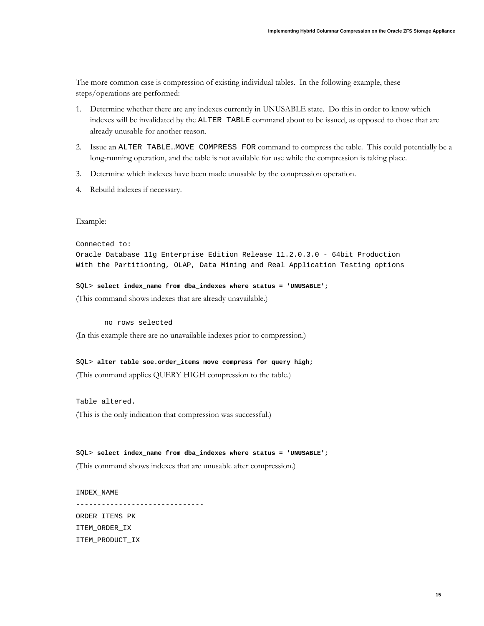The more common case is compression of existing individual tables. In the following example, these steps/operations are performed:

- 1. Determine whether there are any indexes currently in UNUSABLE state. Do this in order to know which indexes will be invalidated by the ALTER TABLE command about to be issued, as opposed to those that are already unusable for another reason.
- 2. Issue an ALTER TABLE…MOVE COMPRESS FOR command to compress the table. This could potentially be a long-running operation, and the table is not available for use while the compression is taking place.
- 3. Determine which indexes have been made unusable by the compression operation.
- 4. Rebuild indexes if necessary.

#### Example:

#### Connected to:

```
Oracle Database 11g Enterprise Edition Release 11.2.0.3.0 - 64bit Production
With the Partitioning, OLAP, Data Mining and Real Application Testing options
```
SQL> **select index\_name from dba\_indexes where status = 'UNUSABLE';**

(This command shows indexes that are already unavailable.)

no rows selected

(In this example there are no unavailable indexes prior to compression.)

SQL> **alter table soe.order\_items move compress for query high;** (This command applies QUERY HIGH compression to the table.)

Table altered. (This is the only indication that compression was successful.)

SQL> **select index\_name from dba\_indexes where status = 'UNUSABLE';** (This command shows indexes that are unusable after compression.)

INDEX\_NAME ------------------------------ ORDER\_ITEMS\_PK ITEM\_ORDER\_IX ITEM\_PRODUCT\_IX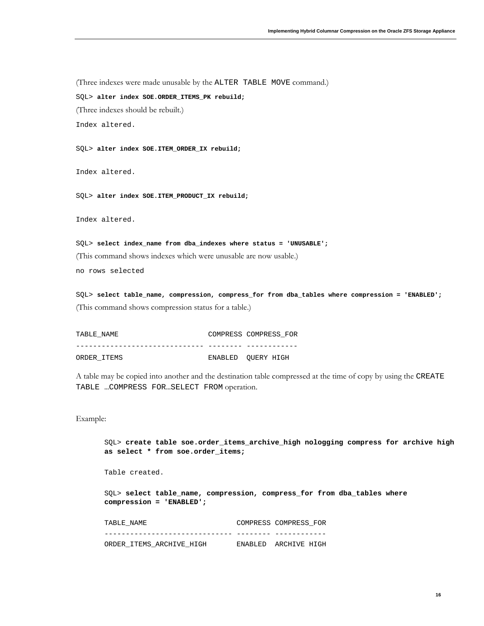(Three indexes were made unusable by the ALTER TABLE MOVE command.)

SQL> **alter index SOE.ORDER\_ITEMS\_PK rebuild;**

(Three indexes should be rebuilt.)

Index altered.

SQL> **alter index SOE.ITEM\_ORDER\_IX rebuild;**

Index altered.

SQL> **alter index SOE.ITEM\_PRODUCT\_IX rebuild;**

Index altered.

SQL> **select index\_name from dba\_indexes where status = 'UNUSABLE';** (This command shows indexes which were unusable are now usable.) no rows selected

SQL> **select table\_name, compression, compress\_for from dba\_tables where compression = 'ENABLED';** (This command shows compression status for a table.)

TABLE NAME **COMPRESS** COMPRESS FOR ------------------------------ -------- ------------ ORDER ITEMS **ENABLED** OUERY HIGH

A table may be copied into another and the destination table compressed at the time of copy by using the CREATE TABLE …COMPRESS FOR…SELECT FROM operation.

Example:

SQL> **create table soe.order\_items\_archive\_high nologging compress for archive high as select \* from soe.order\_items;** Table created. SQL> **select table\_name, compression, compress\_for from dba\_tables where compression = 'ENABLED';** TABLE\_NAME COMPRESS\_COMPRESS\_FOR ------------------------------ -------- ------------ ORDER\_ITEMS\_ARCHIVE\_HIGH ENABLED ARCHIVE HIGH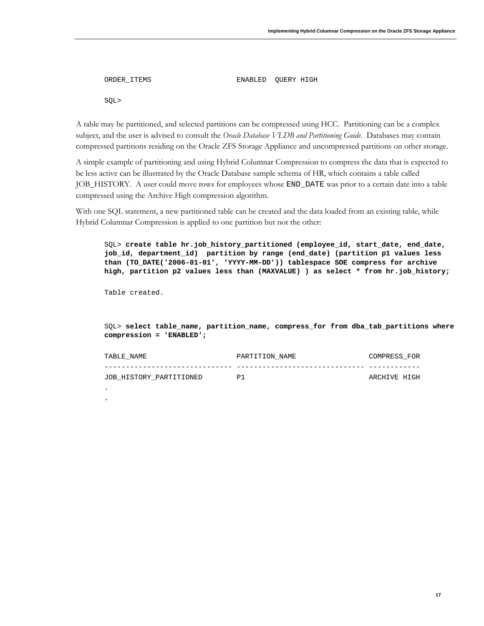```
ORDER ITEMS ENABLED OUERY HIGH
```
SQL>

A table may be partitioned, and selected partitions can be compressed using HCC. Partitioning can be a complex subject, and the user is advised to consult the *Oracle Database VLDB and Partitioning Guide*. Databases may contain compressed partitions residing on the Oracle ZFS Storage Appliance and uncompressed partitions on other storage.

A simple example of partitioning and using Hybrid Columnar Compression to compress the data that is expected to be less active can be illustrated by the Oracle Database sample schema of HR, which contains a table called JOB\_HISTORY. A user could move rows for employees whose END\_DATE was prior to a certain date into a table compressed using the Archive High compression algorithm.

With one SQL statement, a new partitioned table can be created and the data loaded from an existing table, while Hybrid Columnar Compression is applied to one partition but not the other:

SQL> **create table hr.job\_history\_partitioned (employee\_id, start\_date, end\_date, job\_id, department\_id) partition by range (end\_date) (partition p1 values less than (TO\_DATE('2006-01-01', 'YYYY-MM-DD')) tablespace SOE compress for archive high, partition p2 values less than (MAXVALUE) ) as select \* from hr.job\_history;**

Table created.

. .

SQL> **select table\_name, partition\_name, compress\_for from dba\_tab\_partitions where compression = 'ENABLED';**

| TABLE NAME              | PARTITION NAME | COMPRESS FOR |
|-------------------------|----------------|--------------|
|                         |                |              |
| JOB HISTORY PARTITIONED | P1             | ARCHIVE HIGH |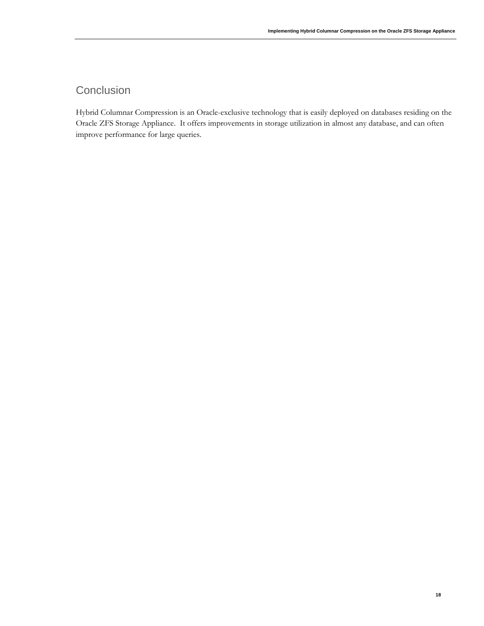### **Conclusion**

Hybrid Columnar Compression is an Oracle-exclusive technology that is easily deployed on databases residing on the Oracle ZFS Storage Appliance. It offers improvements in storage utilization in almost any database, and can often improve performance for large queries.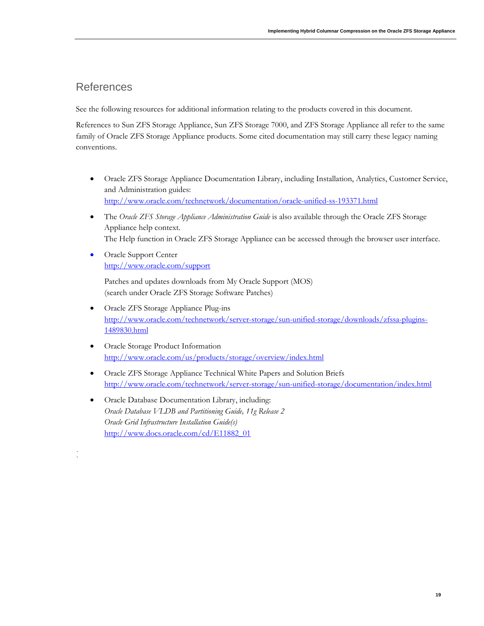### References

. .

See the following resources for additional information relating to the products covered in this document.

References to Sun ZFS Storage Appliance, Sun ZFS Storage 7000, and ZFS Storage Appliance all refer to the same family of Oracle ZFS Storage Appliance products. Some cited documentation may still carry these legacy naming conventions.

- Oracle ZFS Storage Appliance Documentation Library, including Installation, Analytics, Customer Service, and Administration guides: <http://www.oracle.com/technetwork/documentation/oracle-unified-ss-193371.html>
- The *Oracle ZFS Storage Appliance Administration Guide* is also available through the Oracle ZFS Storage Appliance help context. The Help function in Oracle ZFS Storage Appliance can be accessed through the browser user interface.
- Oracle Support Center <http://www.oracle.com/support>

Patches and updates downloads from My Oracle Support (MOS) (search under Oracle ZFS Storage Software Patches)

- Oracle ZFS Storage Appliance Plug-ins [http://www.oracle.com/technetwork/server-storage/sun-unified-storage/downloads/zfssa-plugins-](http://www.oracle.com/technetwork/server-storage/sun-unified-storage/downloads/zfssa-plugins-1489830.html)[1489830.html](http://www.oracle.com/technetwork/server-storage/sun-unified-storage/downloads/zfssa-plugins-1489830.html)
- Oracle Storage Product Information <http://www.oracle.com/us/products/storage/overview/index.html>
- Oracle ZFS Storage Appliance Technical White Papers and Solution Briefs <http://www.oracle.com/technetwork/server-storage/sun-unified-storage/documentation/index.html>
- Oracle Database Documentation Library, including: *Oracle Database VLDB and Partitioning Guide, 11g Release 2 Oracle Grid Infrastructure Installation Guide(s)* [http://www.docs.oracle.com/cd/E11882\\_01](http://www.docs.oracle.com/cd/E11882_01)